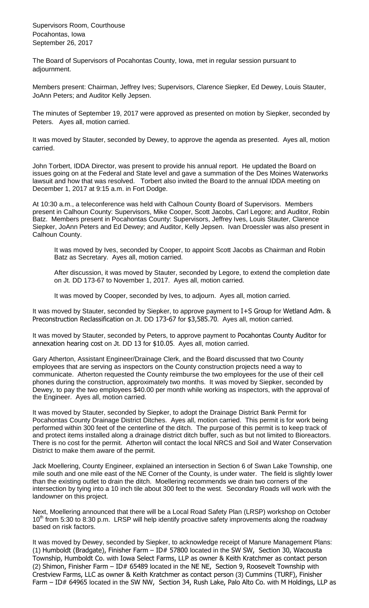Supervisors Room, Courthouse Pocahontas, Iowa September 26, 2017

The Board of Supervisors of Pocahontas County, Iowa, met in regular session pursuant to adjournment.

Members present: Chairman, Jeffrey Ives; Supervisors, Clarence Siepker, Ed Dewey, Louis Stauter, JoAnn Peters; and Auditor Kelly Jepsen.

The minutes of September 19, 2017 were approved as presented on motion by Siepker, seconded by Peters. Ayes all, motion carried.

It was moved by Stauter, seconded by Dewey, to approve the agenda as presented. Ayes all, motion carried.

John Torbert, IDDA Director, was present to provide his annual report. He updated the Board on issues going on at the Federal and State level and gave a summation of the Des Moines Waterworks lawsuit and how that was resolved. Torbert also invited the Board to the annual IDDA meeting on December 1, 2017 at 9:15 a.m. in Fort Dodge.

At 10:30 a.m., a teleconference was held with Calhoun County Board of Supervisors. Members present in Calhoun County: Supervisors, Mike Cooper, Scott Jacobs, Carl Legore; and Auditor, Robin Batz. Members present in Pocahontas County: Supervisors, Jeffrey Ives, Louis Stauter, Clarence Siepker, JoAnn Peters and Ed Dewey; and Auditor, Kelly Jepsen. Ivan Droessler was also present in Calhoun County.

It was moved by Ives, seconded by Cooper, to appoint Scott Jacobs as Chairman and Robin Batz as Secretary. Ayes all, motion carried.

After discussion, it was moved by Stauter, seconded by Legore, to extend the completion date on Jt. DD 173-67 to November 1, 2017. Ayes all, motion carried.

It was moved by Cooper, seconded by Ives, to adjourn. Ayes all, motion carried.

It was moved by Stauter, seconded by Siepker, to approve payment to I+S Group for Wetland Adm. & Preconstruction Reclassification on Jt. DD 173-67 for \$3,585.70. Ayes all, motion carried.

It was moved by Stauter, seconded by Peters, to approve payment to Pocahontas County Auditor for annexation hearing cost on Jt. DD 13 for \$10.05. Ayes all, motion carried.

Gary Atherton, Assistant Engineer/Drainage Clerk, and the Board discussed that two County employees that are serving as inspectors on the County construction projects need a way to communicate. Atherton requested the County reimburse the two employees for the use of their cell phones during the construction, approximately two months. It was moved by Siepker, seconded by Dewey, to pay the two employees \$40.00 per month while working as inspectors, with the approval of the Engineer. Ayes all, motion carried.

It was moved by Stauter, seconded by Siepker, to adopt the Drainage District Bank Permit for Pocahontas County Drainage District Ditches. Ayes all, motion carried. This permit is for work being performed within 300 feet of the centerline of the ditch. The purpose of this permit is to keep track of and protect items installed along a drainage district ditch buffer, such as but not limited to Bioreactors. There is no cost for the permit. Atherton will contact the local NRCS and Soil and Water Conservation District to make them aware of the permit.

Jack Moellering, County Engineer, explained an intersection in Section 6 of Swan Lake Township, one mile south and one mile east of the NE Corner of the County, is under water. The field is slightly lower than the existing outlet to drain the ditch. Moellering recommends we drain two corners of the intersection by tying into a 10 inch tile about 300 feet to the west. Secondary Roads will work with the landowner on this project.

Next, Moellering announced that there will be a Local Road Safety Plan (LRSP) workshop on October 10<sup>th</sup> from 5:30 to 8:30 p.m. LRSP will help identify proactive safety improvements along the roadway based on risk factors.

It was moved by Dewey, seconded by Siepker, to acknowledge receipt of Manure Management Plans: (1) Humboldt (Bradgate), Finisher Farm – ID# 57800 located in the SW SW, Section 30, Wacousta Township, Humboldt Co. with Iowa Select Farms, LLP as owner & Keith Kratchmer as contact person (2) Shimon, Finisher Farm - ID# 65489 located in the NE NE, Section 9, Roosevelt Township with Crestview Farms, LLC as owner & Keith Kratchmer as contact person (3) Cummins (TURF), Finisher Farm – ID# 64965 located in the SW NW, Section 34, Rush Lake, Palo Alto Co. with M Holdings, LLP as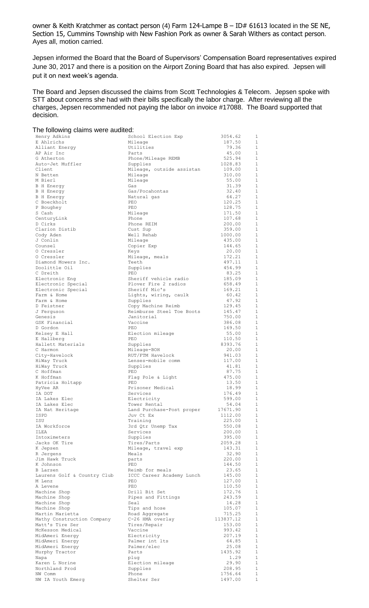owner & Keith Kratchmer as contact person (4) Farm 124-Lampe B – ID# 61613 located in the SE NE, Section 15, Cummins Township with New Fashion Pork as owner & Sarah Withers as contact person. Ayes all, motion carried.

Jepsen informed the Board that the Board of Supervisors' Compensation Board representatives expired June 30, 2017 and there is a position on the Airport Zoning Board that has also expired. Jepsen will put it on next week's agenda.

The Board and Jepsen discussed the claims from Scott Technologies & Telecom. Jepsen spoke with STT about concerns she had with their bills specifically the labor charge. After reviewing all the charges, Jepsen recommended not paying the labor on invoice #17088. The Board supported that decision.

| The following claims were audited:             |                                              |                   |                              |
|------------------------------------------------|----------------------------------------------|-------------------|------------------------------|
| Henry Adkins                                   | School Election Exp                          | 3054.62           | 1                            |
| E Ahlrichs                                     | Mileage                                      | 187.50            | $\mathbf{1}$                 |
| Alliant Energy                                 | Utilities                                    | 79.36             | $\mathbf{1}$                 |
| AP Air Inc                                     | Parts                                        | 45.00             | $\mathbf{1}$                 |
| G Atherton<br>Auto-Jet Muffler                 | Phone/Mileage REMB                           | 525.94<br>1028.83 | $\mathbf{1}$<br>$\mathbf{1}$ |
| Client                                         | Supplies<br>Mileage, outside assistan        | 109.00            | $\mathbf{1}$                 |
| N Betten                                       | Mileage                                      | 310.00            | $\mathbf{1}$                 |
| M Bierl                                        | Mileage                                      | 55.00             | $\mathbf{1}$                 |
| <b>B</b> H Energy                              | Gas                                          | 31.39             | $\mathbf{1}$                 |
| <b>B</b> H Energy                              | Gas/Pocahontas                               | 32.40             | $\mathbf{1}$                 |
| <b>B</b> H Energy                              | Natural gas                                  | 64.27             | $\mathbf{1}$                 |
| C Boeckholt                                    | PEO                                          | 120.25            | 1                            |
| P Boughey                                      | PEO                                          | 128.75            | $\mathbf{1}$                 |
| S Cash                                         | Mileage                                      | 171.50            | 1                            |
| CenturyLink                                    | Phone                                        | 107.68            | $\mathbf{1}$                 |
| D Cirks<br>Clarion Distib                      | Phone REIM<br>Cust Sup                       | 200.00<br>359.00  | 1<br>1                       |
| Cody Aden                                      | Well Rehab                                   | 1000.00           | $\mathbf{1}$                 |
| J Conlin                                       | Mileage                                      | 435.00            | 1                            |
| Counsel                                        | Copier Exp                                   | 144.65            | $\mathbf{1}$                 |
| 0 Cressler                                     | Keys                                         | 20.00             | $\mathbf{1}$                 |
| 0 Cressler                                     | Mileage, meals                               | 172.21            | 1                            |
| Diamond Mowers Inc.                            | Teeth                                        | 497.11            | 1                            |
| Doolittle Oil                                  | Supplies                                     | 454.99            | $\mathbf{1}$                 |
| C Dreith                                       | PEO.                                         | 83.25             | $\mathbf{1}$                 |
| Electronic Eng                                 | Sheriff vehicle radio                        | 185.09            | $\mathbf{1}$                 |
| Electronic Special                             | Plover Fire 2 radios                         | 658.49            | 1                            |
| Electronic Special<br>Farm & Home              | Sheriff Mic's<br>Lights, wiring, caulk       | 169.21<br>60.42   | 1<br>1                       |
| Farm & Home                                    | Supplies                                     | 47.92             | $\mathbf{1}$                 |
| D Feistner                                     | Copy Machine Reimb                           | 129.45            | 1                            |
| J Ferguson                                     | Reimburse Steel Toe Boots                    | 145.47            | $\mathbf{1}$                 |
| Genesis                                        | Janitorial                                   | 750.00            | 1                            |
| GSK Financial                                  | Vaccine                                      | 386.08            | $\mathbf{1}$                 |
| D Gordon                                       | PEO                                          | 169.50            | 1                            |
| Kelsey E Hall                                  | Election mileage                             | 55.00             | 1                            |
| E Hallberg                                     | PEO                                          | 110.50            | 1                            |
| Hallett Materials                              | Supplies                                     | 8393.76           | $\mathbf{1}$<br>1            |
| C Harmon<br>City-Havelock                      | Mileage-BOH<br>RUT/FTM Havelock              | 20.00<br>941.03   | 1                            |
| HiWay Truck                                    | Lenses-mobile comm                           | 117.00            | 1                            |
| HiWay Truck                                    | Supplies                                     | 41.81             | 1                            |
| C Hoffman                                      | PEO                                          | 87.75             | $\mathbf{1}$                 |
| K Hoffman                                      | Flag Pole & Light                            | 475.00            | $\mathbf{1}$                 |
| Patricia Holtapp                               | PEO                                          | 13.50             | 1                            |
| HyVee AR                                       | Prisoner Medical                             | 18.99             | $\mathbf{1}$                 |
| IA DOT                                         | Services                                     | 176.49            | $\,1\,$                      |
| IA Lakes Elec                                  | Electricity                                  | 599.00            | $\mathbf{1}$                 |
| IA Lakes Elec<br>IA Nat Heritage               | Tower Rental                                 | 54.04<br>17671.90 | $\mathbf{1}$<br>$\mathbf{1}$ |
| ISPD                                           | Land Purchase-Post proper<br>Juv Ct Ex       | 1112.00           | $\mathbf{1}$                 |
| ISU                                            | Training                                     | 225.00            | $\mathbf{1}$                 |
| IA Workforce                                   | 3rd Qtr Unemp Tax                            | 550.08            | $\mathbf{1}$                 |
| ILEA                                           | Services                                     | 200.00            | $1\,$                        |
| Intoximeters                                   | Supplies                                     | 395.00            | $\mathbf{1}$                 |
| Jacks OK Tire                                  | Tires/Parts                                  | 2059.28           | $1\,$                        |
| K Jepsen                                       | Mileage, travel exp                          | 143.31            | $\mathbf 1$                  |
| R Jergens                                      | Meals                                        | 32.90             | $1\,$                        |
| Jim Hawk Truck                                 | parts                                        | 220.00            | $\mathbf{1}$                 |
| K Johnson                                      | PEO                                          | 144.50            | $\mathbf{1}$                 |
| <b>B</b> Larsen<br>Laurens Golf & Country Club | Reimb for meals<br>ICCC Career Academy Lunch | 23.65<br>145.00   | 1<br>$\mathbf{1}$            |
| M Lenz                                         | PEO                                          | 127.00            | 1                            |
| A Levene                                       | PEO                                          | 110.50            | $\mathbf{1}$                 |
| Machine Shop                                   | Drill Bit Set                                | 172.76            | 1                            |
| Machine Shop                                   | Pipes and Fittings                           | 243.59            | $\mathbf{1}$                 |
| Machine Shop                                   | Seal                                         | 14.28             | 1                            |
| Machine Shop                                   | Tips and hose                                | 105.07            | $\mathbf{1}$                 |
| Martin Marietta                                | Road Aggregate                               | 715.25            | $\mathbf{1}$                 |
| Mathy Construction Company                     | C-26 HMA overlay                             | 113837.12         | $\mathbf{1}$                 |
| Matt's Tire Ser                                | Tires/Repair                                 | 153.00            | $\mathbf{1}$                 |
| McKesson Medical<br>MidAmeri Energy            | Vaccine<br>Electricity                       | 993.42<br>207.19  | $\mathbf{1}$<br>1            |
| MidAmeri Energy                                | Palmer int lts                               | 64.85             | 1                            |
| MidAmeri Energy                                | Palmer/elec                                  | 25.08             | 1                            |
| Murphy Tractor                                 | Parts                                        | 1435.92           | 1                            |
| Napa                                           | plug                                         | 1.29              | 1                            |
| Karen L Norine                                 | Election mileage                             | 29.90             | 1                            |
| Northland Prod                                 | Supplies                                     | 208.95            | $\mathbf{1}$                 |
| NW Comm                                        | Phone                                        | 1756.64           | 1                            |
| NW IA Youth Emerg                              | Shelter Ser                                  | 1497.00           | $\,1\,$                      |